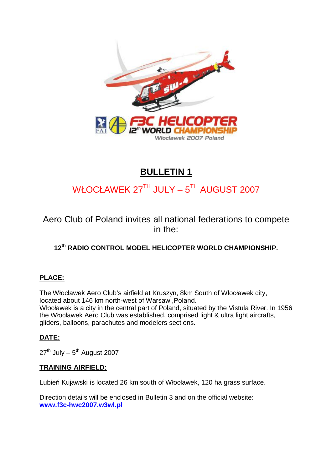

# **BULLETIN 1**

# WŁOCŁAWEK 27TH JULY – 5TH AUGUST 2007

Aero Club of Poland invites all national federations to compete in the:

# **12th RADIO CONTROL MODEL HELICOPTER WORLD CHAMPIONSHIP.**

# **PLACE:**

The Włocławek Aero Club's airfield at Kruszyn, 8km South of Włocławek city, located about 146 km north-west of Warsaw ,Poland. Włocławek is a city in the central part of Poland, situated by the Vistula River. In 1956 the Włocławek Aero Club was established, comprised light & ultra light aircrafts, gliders, balloons, parachutes and modelers sections.

# **DATE:**

 $27<sup>th</sup>$  July –  $5<sup>th</sup>$  August 2007

# **TRAINING AIRFIELD:**

Lubień Kujawski is located 26 km south of Włocławek, 120 ha grass surface.

Direction details will be enclosed in Bulletin 3 and on the official website: **[www.f3c-hwc2007.w3wl.pl](http://www.f3c-hwc2007.w3wl.pl)**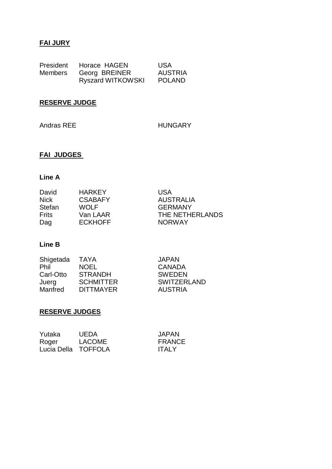# **FAI JURY**

| President      | Horace HAGEN             | <b>USA</b>     |
|----------------|--------------------------|----------------|
| <b>Members</b> | Georg BREINER            | <b>AUSTRIA</b> |
|                | <b>Ryszard WITKOWSKI</b> | <b>POLAND</b>  |

# **RESERVE JUDGE**

Andras REE HUNGARY

# **FAI JUDGES**

# **Line A**

| David        | <b>HARKFY</b>  | USA              |
|--------------|----------------|------------------|
| <b>Nick</b>  | <b>CSABAFY</b> | <b>AUSTRALIA</b> |
| Stefan       | <b>WOLF</b>    | <b>GERMANY</b>   |
| <b>Frits</b> | Van LAAR       | THE NETHERLANDS  |
| Dag          | <b>ECKHOFF</b> | <b>NORWAY</b>    |

# **Line B**

| <b>TAYA</b>      | <b>JAPAN</b>       |
|------------------|--------------------|
| <b>NOEL</b>      | <b>CANADA</b>      |
| <b>STRANDH</b>   | <b>SWEDEN</b>      |
| <b>SCHMITTER</b> | <b>SWITZERLAND</b> |
| <b>DITTMAYER</b> | <b>AUSTRIA</b>     |
|                  |                    |

# **RESERVE JUDGES**

| Yutaka              | <b>UEDA</b>   | <b>JAPAN</b>  |
|---------------------|---------------|---------------|
| Roger               | <b>LACOME</b> | <b>FRANCE</b> |
| Lucia Della TOFFOLA |               | <b>ITALY</b>  |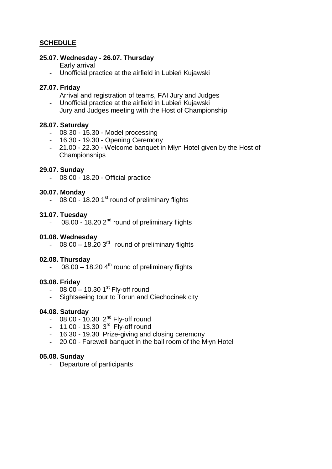# **SCHEDULE**

#### **25.07. Wednesday - 26.07. Thursday**

- Early arrival
- Unofficial practice at the airfield in Lubień Kujawski

#### **27.07. Friday**

- Arrival and registration of teams, FAI Jury and Judges
- Unofficial practice at the airfield in Lubień Kujawski
- Jury and Judges meeting with the Host of Championship

#### **28.07. Saturday**

- 08.30 15.30 Model processing
- 16.30 19.30 Opening Ceremony
- 21.00 22.30 Welcome banquet in Młyn Hotel given by the Host of Championships

#### **29.07. Sunday**

- 08.00 - 18.20 - Official practice

#### **30.07. Monday**

 $-$  08.00 - 18.20 1<sup>st</sup> round of preliminary flights

#### **31.07. Tuesday**

 $-$  08.00 - 18.20 2<sup>nd</sup> round of preliminary flights

#### **01.08. Wednesday**

 $-$  08.00 – 18.20 3<sup>rd</sup> round of preliminary flights

#### **02.08. Thursday**

 $-$  08.00 – 18.20 4<sup>th</sup> round of preliminary flights

#### **03.08. Friday**

- $08.00 10.301<sup>st</sup>$  Fly-off round
- Sightseeing tour to Torun and Ciechocinek city

#### **04.08. Saturday**

- $-$  08.00 10.30  $2^{nd}$  Fly-off round
- $-$  11.00 13.30 3<sup>rd</sup> Fly-off round
- 16.30 19.30 Prize-giving and closing ceremony
- 20.00 Farewell banquet in the ball room of the Młyn Hotel

#### **05.08. Sunday**

- Departure of participants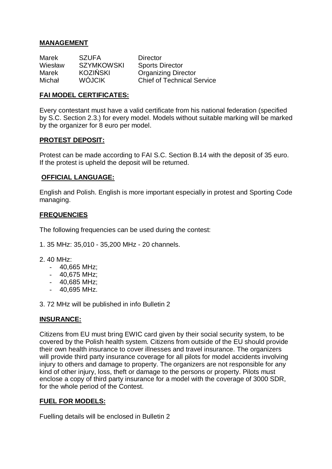# **MANAGEMENT**

| Marek   | <b>SZUFA</b>      | <b>Director</b>                   |
|---------|-------------------|-----------------------------------|
| Wiesław | <b>SZYMKOWSKI</b> | <b>Sports Director</b>            |
| Marek   | <b>KOZIŃSKI</b>   | <b>Organizing Director</b>        |
| Michał  | <b>WÓJCIK</b>     | <b>Chief of Technical Service</b> |

#### **FAI MODEL CERTIFICATES:**

Every contestant must have a valid certificate from his national federation (specified by S.C. Section 2.3.) for every model. Models without suitable marking will be marked by the organizer for 8 euro per model.

#### **PROTEST DEPOSIT:**

Protest can be made according to FAI S.C. Section B.14 with the deposit of 35 euro. If the protest is upheld the deposit will be returned.

#### **OFFICIAL LANGUAGE:**

English and Polish. English is more important especially in protest and Sporting Code managing.

# **FREQUENCIES**

The following frequencies can be used during the contest:

- 1. 35 MHz: 35,010 35,200 MHz 20 channels.
- 2. 40 MHz:
	- 40,665 MHz;
	- 40,675 MHz;
	- 40,685 MHz;
	- 40,695 MHz.
- 3. 72 MHz will be published in info Bulletin 2

# **INSURANCE:**

Citizens from EU must bring EWIC card given by their social security system, to be covered by the Polish health system. Citizens from outside of the EU should provide their own health insurance to cover illnesses and travel insurance. The organizers will provide third party insurance coverage for all pilots for model accidents involving injury to others and damage to property. The organizers are not responsible for any kind of other injury, loss, theft or damage to the persons or property. Pilots must enclose a copy of third party insurance for a model with the coverage of 3000 SDR, for the whole period of the Contest.

#### **FUEL FOR MODELS:**

Fuelling details will be enclosed in Bulletin 2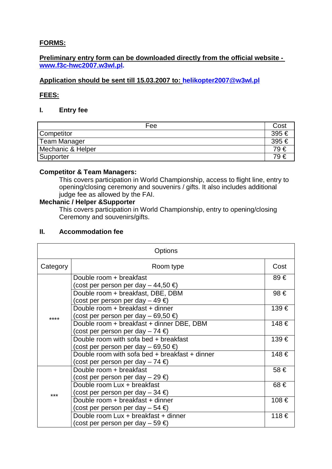# **FORMS:**

# **Preliminary entry form can be downloaded directly from the official website [www.f3c-hwc2007.w3wl.pl.](http://www.f3c-hwc2007.w3wl.pl)**

# **Application should be sent till 15.03.2007 to: [helikopter2007@w3wl.pl](mailto:helikopter2007@w3wl.pl)**

# **FEES:**

# **I. Entry fee**

| Fee                 | Cost  |
|---------------------|-------|
| <b>Competitor</b>   | 395 € |
| <b>Team Manager</b> | 395 € |
| Mechanic & Helper   | 79€   |
| Supporter           | 79 €  |

# **Competitor & Team Managers:**

This covers participation in World Championship, access to flight line, entry to opening/closing ceremony and souvenirs / gifts. It also includes additional judge fee as allowed by the FAI.

#### **Mechanic / Helper &Supporter**

This covers participation in World Championship, entry to opening/closing Ceremony and souvenirs/gifts.

# **II. Accommodation fee**

|          | Options                                                                            |       |
|----------|------------------------------------------------------------------------------------|-------|
| Category | Room type                                                                          | Cost  |
|          | Double room + breakfast<br>(cost per person per day – 44,50 €)                     | 89 €  |
| ****     | Double room + breakfast, DBE, DBM<br>(cost per person per day – 49 €)              | 98 €  |
|          | Double room + breakfast + dinner<br>(cost per person per day – 69,50 €)            | 139€  |
|          | Double room + breakfast + dinner DBE, DBM<br>(cost per person per day – 74 €)      | 148 € |
|          | Double room with sofa bed + breakfast<br>(cost per person per day – 69,50 €)       | 139€  |
|          | Double room with sofa bed + breakfast + dinner<br>(cost per person per day – 74 €) | 148 € |
|          | Double room + breakfast<br>(cost per person per day – 29 €)                        | 58 €  |
| ***      | Double room Lux + breakfast<br>(cost per person per day – 34 €)                    | 68 €  |
|          | Double room + breakfast + dinner<br>(cost per person per day – 54 €)               | 108 € |
|          | Double room Lux + breakfast + dinner<br>(cost per person per day – 59 €)           | 118€  |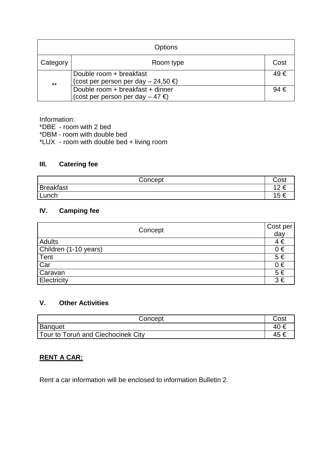|          | <b>Options</b>                                                           |          |
|----------|--------------------------------------------------------------------------|----------|
| Category | Room type                                                                | Cost     |
| $***$    | Double room + breakfast<br>(cost per person per day $-24,50 \in$ )       | 49 €     |
|          | Double room + breakfast + dinner<br>(cost per person per day $-47 \in$ ) | $94 \in$ |

Information:

\*DBE - room with 2 bed

\*DBM - room with double bed

\*LUX - room with double bed + living room

# **III. Catering fee**

| Concept          | Cost      |
|------------------|-----------|
| <b>Breakfast</b> | 12 €      |
| Lunch            | ィド<br>j t |

# **IV. Camping fee**

| Concept               | Cost per |
|-----------------------|----------|
|                       | day      |
| Adults                | $4 \in$  |
| Children (1-10 years) | $0 \in$  |
| Tent                  | $5 \in$  |
| Car                   | $0 \in$  |
| Caravan               | $5 \in$  |
| Electricity           | $3 \in$  |

# **V. Other Activities**

| Concept                            | Cost |
|------------------------------------|------|
| Banquet                            | 40 € |
| Tour to Toruń and Ciechocinek City | 45   |

# **RENT A CAR:**

Rent a car information will be enclosed to information Bulletin 2.